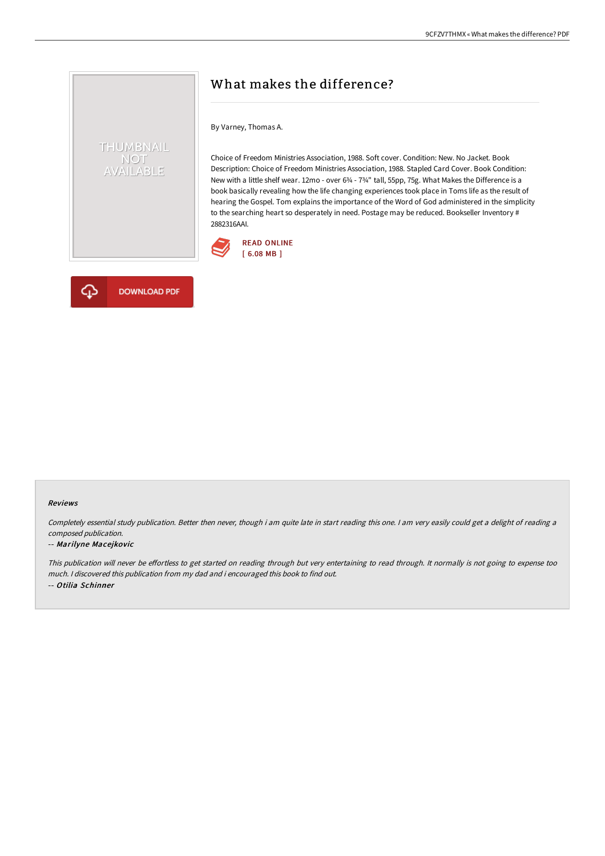## What makes the difference?

By Varney, Thomas A.

Choice of Freedom Ministries Association, 1988. Soft cover. Condition: New. No Jacket. Book Description: Choice of Freedom Ministries Association, 1988. Stapled Card Cover. Book Condition: New with a little shelf wear. 12mo - over 6¾ - 7¾" tall, 55pp, 75g. What Makes the Difference is a book basically revealing how the life changing experiences took place in Toms life as the result of hearing the Gospel. Tom explains the importance of the Word of God administered in the simplicity to the searching heart so desperately in need. Postage may be reduced. Bookseller Inventory # 2882316AAI.





THUMBNAIL NOT<br>AVAILABLE

#### Reviews

Completely essential study publication. Better then never, though i am quite late in start reading this one. <sup>I</sup> am very easily could get <sup>a</sup> delight of reading <sup>a</sup> composed publication.

#### -- Marilyne Macejkovic

This publication will never be effortless to get started on reading through but very entertaining to read through. It normally is not going to expense too much. <sup>I</sup> discovered this publication from my dad and i encouraged this book to find out. -- Otilia Schinner